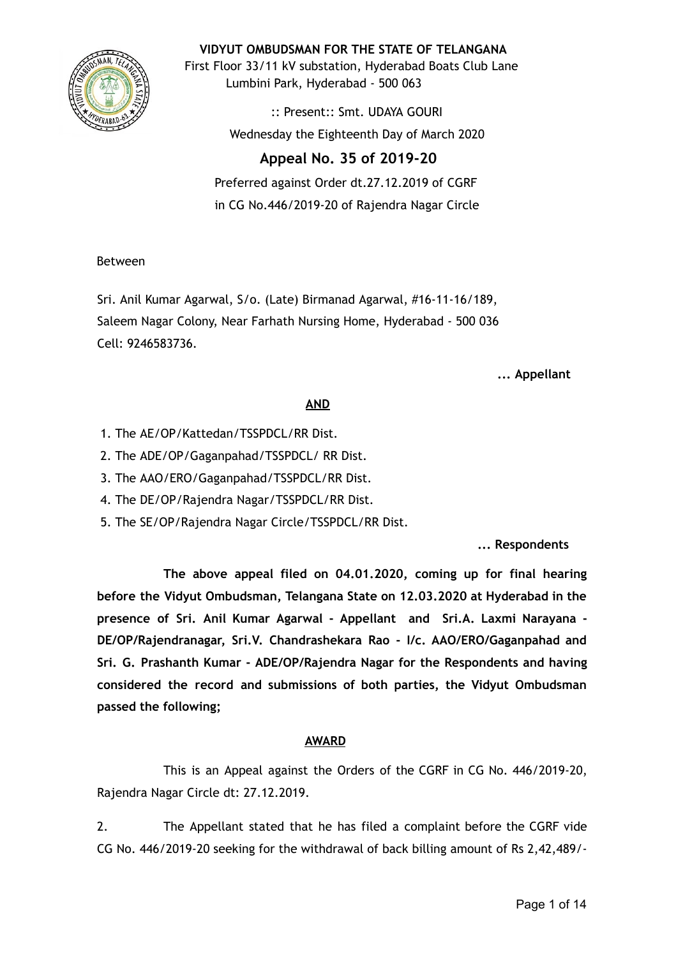

**VIDYUT OMBUDSMAN FOR THE STATE OF TELANGANA**

First Floor 33/11 kV substation, Hyderabad Boats Club Lane Lumbini Park, Hyderabad - 500 063

> :: Present:: Smt. UDAYA GOURI Wednesday the Eighteenth Day of March 2020

# **Appeal No. 35 of 2019-20**

Preferred against Order dt.27.12.2019 of CGRF in CG No.446/2019-20 of Rajendra Nagar Circle

## Between

Sri. Anil Kumar Agarwal, S/o. (Late) Birmanad Agarwal, #16-11-16/189, Saleem Nagar Colony, Near Farhath Nursing Home, Hyderabad - 500 036 Cell: 9246583736.

**... Appellant**

## **AND**

- 1. The AE/OP/Kattedan/TSSPDCL/RR Dist.
- 2. The ADE/OP/Gaganpahad/TSSPDCL/ RR Dist.
- 3. The AAO/ERO/Gaganpahad/TSSPDCL/RR Dist.
- 4. The DE/OP/Rajendra Nagar/TSSPDCL/RR Dist.
- 5. The SE/OP/Rajendra Nagar Circle/TSSPDCL/RR Dist.

**... Respondents**

**The above appeal filed on 04.01.2020, coming up for final hearing before the Vidyut Ombudsman, Telangana State on 12.03.2020 at Hyderabad in the presence of Sri. Anil Kumar Agarwal - Appellant and Sri.A. Laxmi Narayana - DE/OP/Rajendranagar, Sri.V. Chandrashekara Rao - I/c. AAO/ERO/Gaganpahad and Sri. G. Prashanth Kumar - ADE/OP/Rajendra Nagar for the Respondents and having considered the record and submissions of both parties, the Vidyut Ombudsman passed the following;**

## **AWARD**

This is an Appeal against the Orders of the CGRF in CG No. 446/2019-20, Rajendra Nagar Circle dt: 27.12.2019.

2. The Appellant stated that he has filed a complaint before the CGRF vide CG No. 446/2019-20 seeking for the withdrawal of back billing amount of Rs 2,42,489/-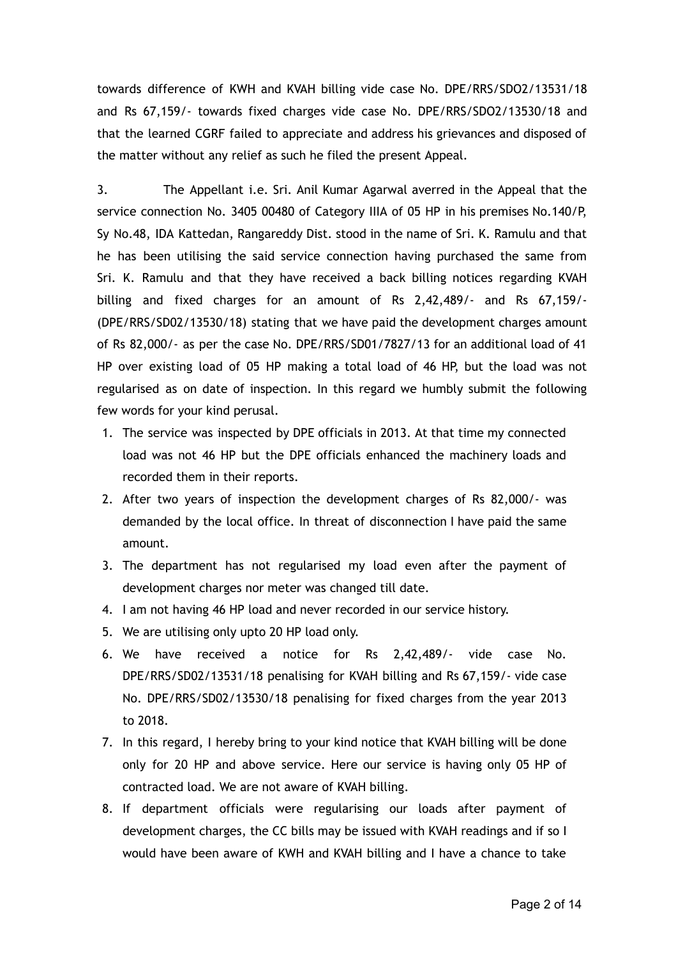towards difference of KWH and KVAH billing vide case No. DPE/RRS/SDO2/13531/18 and Rs 67,159/- towards fixed charges vide case No. DPE/RRS/SDO2/13530/18 and that the learned CGRF failed to appreciate and address his grievances and disposed of the matter without any relief as such he filed the present Appeal.

3. The Appellant i.e. Sri. Anil Kumar Agarwal averred in the Appeal that the service connection No. 3405 00480 of Category IIIA of 05 HP in his premises No.140/P, Sy No.48, IDA Kattedan, Rangareddy Dist. stood in the name of Sri. K. Ramulu and that he has been utilising the said service connection having purchased the same from Sri. K. Ramulu and that they have received a back billing notices regarding KVAH billing and fixed charges for an amount of Rs 2,42,489/- and Rs 67,159/- (DPE/RRS/SD02/13530/18) stating that we have paid the development charges amount of Rs 82,000/- as per the case No. DPE/RRS/SD01/7827/13 for an additional load of 41 HP over existing load of 05 HP making a total load of 46 HP, but the load was not regularised as on date of inspection. In this regard we humbly submit the following few words for your kind perusal.

- 1. The service was inspected by DPE officials in 2013. At that time my connected load was not 46 HP but the DPE officials enhanced the machinery loads and recorded them in their reports.
- 2. After two years of inspection the development charges of Rs 82,000/- was demanded by the local office. In threat of disconnection I have paid the same amount.
- 3. The department has not regularised my load even after the payment of development charges nor meter was changed till date.
- 4. I am not having 46 HP load and never recorded in our service history.
- 5. We are utilising only upto 20 HP load only.
- 6. We have received a notice for Rs 2,42,489/- vide case No. DPE/RRS/SD02/13531/18 penalising for KVAH billing and Rs 67,159/- vide case No. DPE/RRS/SD02/13530/18 penalising for fixed charges from the year 2013 to 2018.
- 7. In this regard, I hereby bring to your kind notice that KVAH billing will be done only for 20 HP and above service. Here our service is having only 05 HP of contracted load. We are not aware of KVAH billing.
- 8. If department officials were regularising our loads after payment of development charges, the CC bills may be issued with KVAH readings and if so I would have been aware of KWH and KVAH billing and I have a chance to take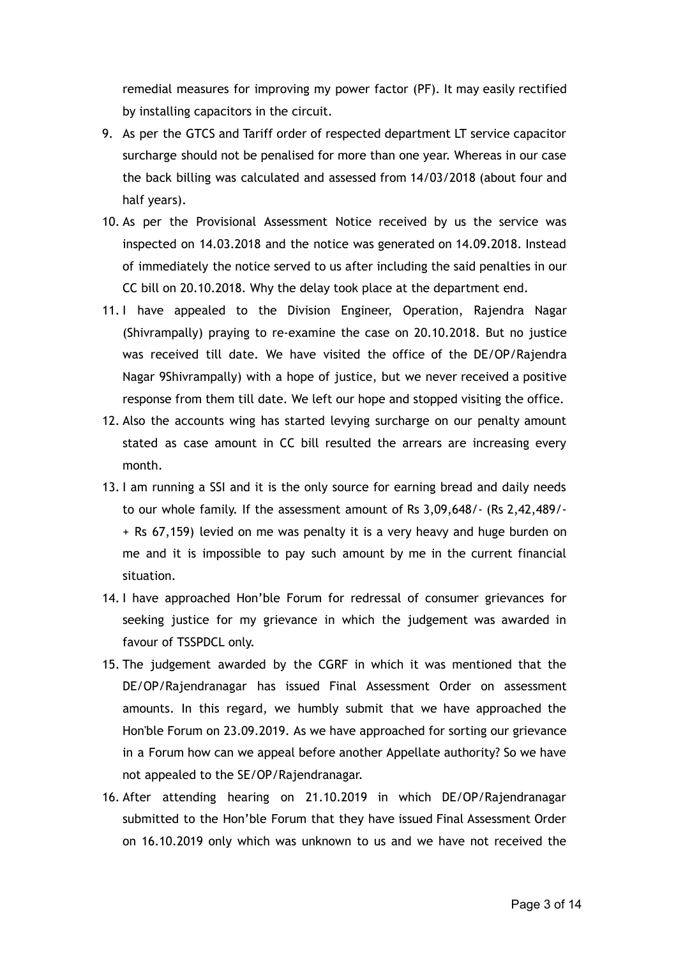remedial measures for improving my power factor (PF). It may easily rectified by installing capacitors in the circuit.

- 9. As per the GTCS and Tariff order of respected department LT service capacitor surcharge should not be penalised for more than one year. Whereas in our case the back billing was calculated and assessed from 14/03/2018 (about four and half years).
- 10. As per the Provisional Assessment Notice received by us the service was inspected on 14.03.2018 and the notice was generated on 14.09.2018. Instead of immediately the notice served to us after including the said penalties in our CC bill on 20.10.2018. Why the delay took place at the department end.
- 11. I have appealed to the Division Engineer, Operation, Rajendra Nagar (Shivrampally) praying to re-examine the case on 20.10.2018. But no justice was received till date. We have visited the office of the DE/OP/Rajendra Nagar 9Shivrampally) with a hope of justice, but we never received a positive response from them till date. We left our hope and stopped visiting the office.
- 12. Also the accounts wing has started levying surcharge on our penalty amount stated as case amount in CC bill resulted the arrears are increasing every month.
- 13. I am running a SSI and it is the only source for earning bread and daily needs to our whole family. If the assessment amount of Rs 3,09,648/- (Rs 2,42,489/- + Rs 67,159) levied on me was penalty it is a very heavy and huge burden on me and it is impossible to pay such amount by me in the current financial situation.
- 14. I have approached Hon'ble Forum for redressal of consumer grievances for seeking justice for my grievance in which the judgement was awarded in favour of TSSPDCL only.
- 15. The judgement awarded by the CGRF in which it was mentioned that the DE/OP/Rajendranagar has issued Final Assessment Order on assessment amounts. In this regard, we humbly submit that we have approached the Hon'ble Forum on 23.09.2019. As we have approached for sorting our grievance in a Forum how can we appeal before another Appellate authority? So we have not appealed to the SE/OP/Rajendranagar.
- 16. After attending hearing on 21.10.2019 in which DE/OP/Rajendranagar submitted to the Hon'ble Forum that they have issued Final Assessment Order on 16.10.2019 only which was unknown to us and we have not received the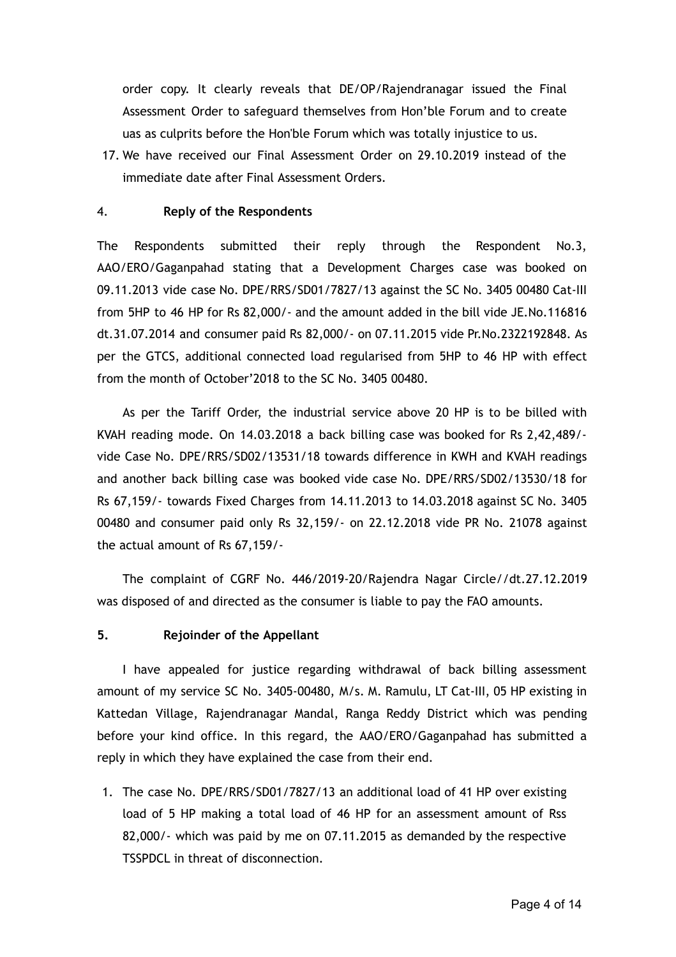order copy. It clearly reveals that DE/OP/Rajendranagar issued the Final Assessment Order to safeguard themselves from Hon'ble Forum and to create uas as culprits before the Hon'ble Forum which was totally injustice to us.

17. We have received our Final Assessment Order on 29.10.2019 instead of the immediate date after Final Assessment Orders.

## 4. **Reply of the Respondents**

The Respondents submitted their reply through the Respondent No.3, AAO/ERO/Gaganpahad stating that a Development Charges case was booked on 09.11.2013 vide case No. DPE/RRS/SD01/7827/13 against the SC No. 3405 00480 Cat-III from 5HP to 46 HP for Rs 82,000/- and the amount added in the bill vide JE.No.116816 dt.31.07.2014 and consumer paid Rs 82,000/- on 07.11.2015 vide Pr.No.2322192848. As per the GTCS, additional connected load regularised from 5HP to 46 HP with effect from the month of October'2018 to the SC No. 3405 00480.

As per the Tariff Order, the industrial service above 20 HP is to be billed with KVAH reading mode. On 14.03.2018 a back billing case was booked for Rs 2,42,489/ vide Case No. DPE/RRS/SD02/13531/18 towards difference in KWH and KVAH readings and another back billing case was booked vide case No. DPE/RRS/SD02/13530/18 for Rs 67,159/- towards Fixed Charges from 14.11.2013 to 14.03.2018 against SC No. 3405 00480 and consumer paid only Rs 32,159/- on 22.12.2018 vide PR No. 21078 against the actual amount of Rs 67,159/-

The complaint of CGRF No. 446/2019-20/Rajendra Nagar Circle//dt.27.12.2019 was disposed of and directed as the consumer is liable to pay the FAO amounts.

### **5. Rejoinder of the Appellant**

I have appealed for justice regarding withdrawal of back billing assessment amount of my service SC No. 3405-00480, M/s. M. Ramulu, LT Cat-III, 05 HP existing in Kattedan Village, Rajendranagar Mandal, Ranga Reddy District which was pending before your kind office. In this regard, the AAO/ERO/Gaganpahad has submitted a reply in which they have explained the case from their end.

1. The case No. DPE/RRS/SD01/7827/13 an additional load of 41 HP over existing load of 5 HP making a total load of 46 HP for an assessment amount of Rss 82,000/- which was paid by me on 07.11.2015 as demanded by the respective TSSPDCL in threat of disconnection.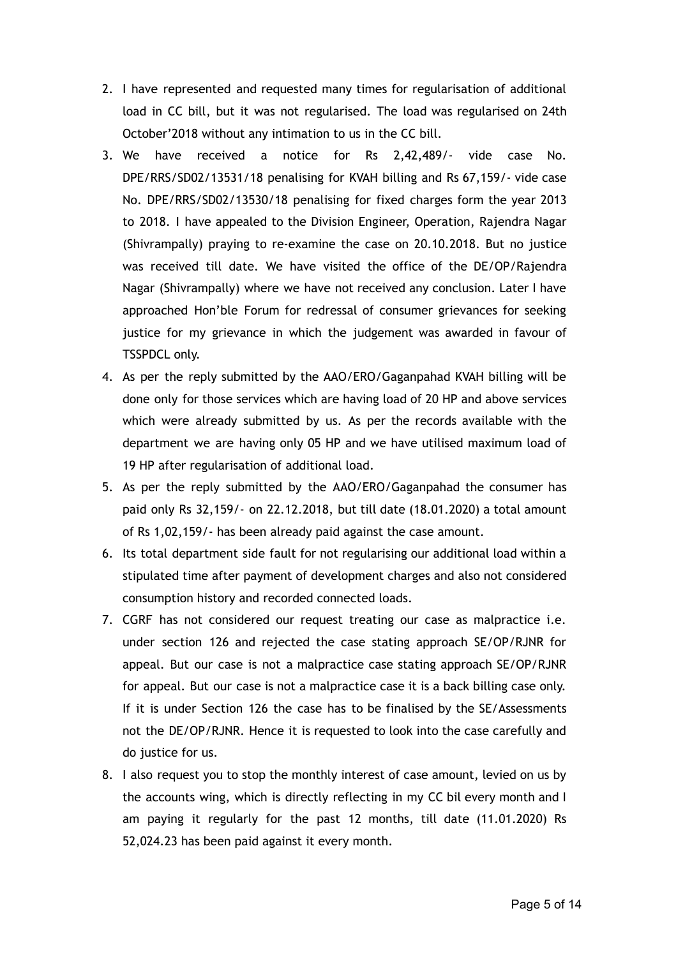- 2. I have represented and requested many times for regularisation of additional load in CC bill, but it was not regularised. The load was regularised on 24th October'2018 without any intimation to us in the CC bill.
- 3. We have received a notice for Rs 2,42,489/- vide case No. DPE/RRS/SD02/13531/18 penalising for KVAH billing and Rs 67,159/- vide case No. DPE/RRS/SD02/13530/18 penalising for fixed charges form the year 2013 to 2018. I have appealed to the Division Engineer, Operation, Rajendra Nagar (Shivrampally) praying to re-examine the case on 20.10.2018. But no justice was received till date. We have visited the office of the DE/OP/Rajendra Nagar (Shivrampally) where we have not received any conclusion. Later I have approached Hon'ble Forum for redressal of consumer grievances for seeking justice for my grievance in which the judgement was awarded in favour of TSSPDCL only.
- 4. As per the reply submitted by the AAO/ERO/Gaganpahad KVAH billing will be done only for those services which are having load of 20 HP and above services which were already submitted by us. As per the records available with the department we are having only 05 HP and we have utilised maximum load of 19 HP after regularisation of additional load.
- 5. As per the reply submitted by the AAO/ERO/Gaganpahad the consumer has paid only Rs 32,159/- on 22.12.2018, but till date (18.01.2020) a total amount of Rs 1,02,159/- has been already paid against the case amount.
- 6. Its total department side fault for not regularising our additional load within a stipulated time after payment of development charges and also not considered consumption history and recorded connected loads.
- 7. CGRF has not considered our request treating our case as malpractice i.e. under section 126 and rejected the case stating approach SE/OP/RJNR for appeal. But our case is not a malpractice case stating approach SE/OP/RJNR for appeal. But our case is not a malpractice case it is a back billing case only. If it is under Section 126 the case has to be finalised by the SE/Assessments not the DE/OP/RJNR. Hence it is requested to look into the case carefully and do justice for us.
- 8. I also request you to stop the monthly interest of case amount, levied on us by the accounts wing, which is directly reflecting in my CC bil every month and I am paying it regularly for the past 12 months, till date (11.01.2020) Rs 52,024.23 has been paid against it every month.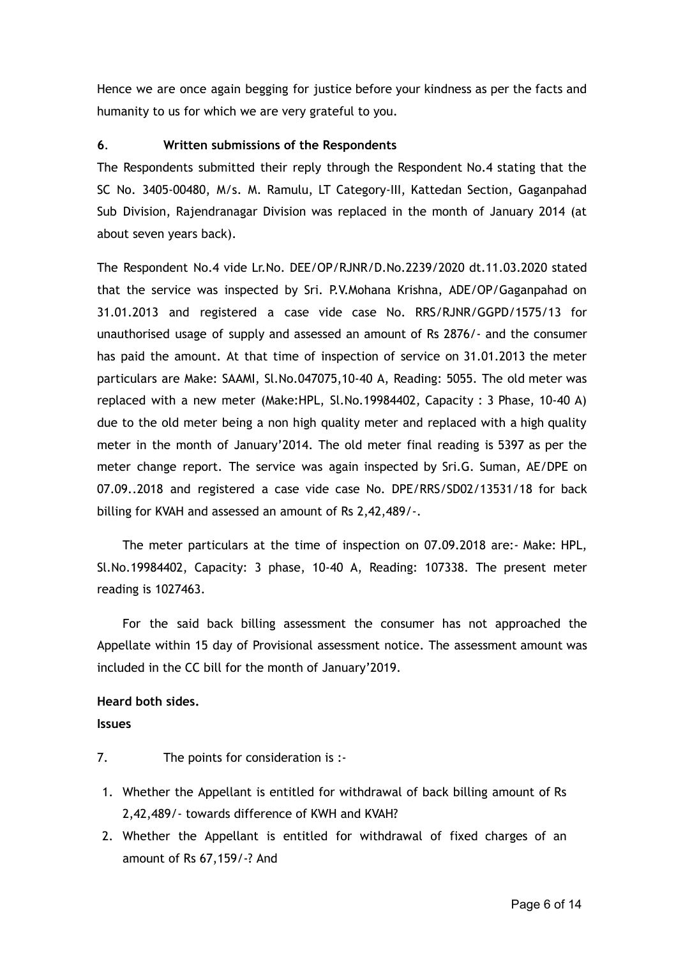Hence we are once again begging for justice before your kindness as per the facts and humanity to us for which we are very grateful to you.

## **6** . **Written submissions of the Respondents**

The Respondents submitted their reply through the Respondent No.4 stating that the SC No. 3405-00480, M/s. M. Ramulu, LT Category-III, Kattedan Section, Gaganpahad Sub Division, Rajendranagar Division was replaced in the month of January 2014 (at about seven years back).

The Respondent No.4 vide Lr.No. DEE/OP/RJNR/D.No.2239/2020 dt.11.03.2020 stated that the service was inspected by Sri. P.V.Mohana Krishna, ADE/OP/Gaganpahad on 31.01.2013 and registered a case vide case No. RRS/RJNR/GGPD/1575/13 for unauthorised usage of supply and assessed an amount of Rs 2876/- and the consumer has paid the amount. At that time of inspection of service on 31.01.2013 the meter particulars are Make: SAAMI, Sl.No.047075,10-40 A, Reading: 5055. The old meter was replaced with a new meter (Make:HPL, Sl.No.19984402, Capacity : 3 Phase, 10-40 A) due to the old meter being a non high quality meter and replaced with a high quality meter in the month of January'2014. The old meter final reading is 5397 as per the meter change report. The service was again inspected by Sri.G. Suman, AE/DPE on 07.09..2018 and registered a case vide case No. DPE/RRS/SD02/13531/18 for back billing for KVAH and assessed an amount of Rs 2,42,489/-.

The meter particulars at the time of inspection on 07.09.2018 are:- Make: HPL, Sl.No.19984402, Capacity: 3 phase, 10-40 A, Reading: 107338. The present meter reading is 1027463.

For the said back billing assessment the consumer has not approached the Appellate within 15 day of Provisional assessment notice. The assessment amount was included in the CC bill for the month of January'2019.

## **Heard both sides.**

**Issues**

- 7. The points for consideration is :-
- 1. Whether the Appellant is entitled for withdrawal of back billing amount of Rs 2,42,489/- towards difference of KWH and KVAH?
- 2. Whether the Appellant is entitled for withdrawal of fixed charges of an amount of Rs 67,159/-? And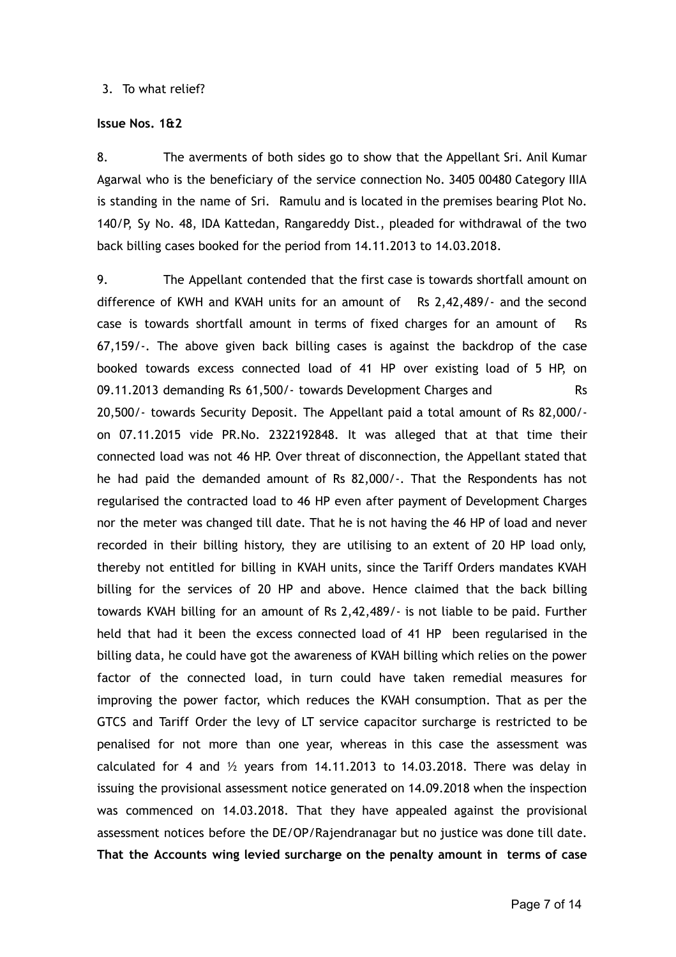#### 3. To what relief?

#### **Issue Nos. 1&2**

8. The averments of both sides go to show that the Appellant Sri. Anil Kumar Agarwal who is the beneficiary of the service connection No. 3405 00480 Category IIIA is standing in the name of Sri. Ramulu and is located in the premises bearing Plot No. 140/P, Sy No. 48, IDA Kattedan, Rangareddy Dist., pleaded for withdrawal of the two back billing cases booked for the period from 14.11.2013 to 14.03.2018.

9. The Appellant contended that the first case is towards shortfall amount on difference of KWH and KVAH units for an amount of Rs 2,42,489/- and the second case is towards shortfall amount in terms of fixed charges for an amount of Rs 67,159/-. The above given back billing cases is against the backdrop of the case booked towards excess connected load of 41 HP over existing load of 5 HP, on 09.11.2013 demanding Rs 61,500/- towards Development Charges and Rs 20,500/- towards Security Deposit. The Appellant paid a total amount of Rs 82,000/ on 07.11.2015 vide PR.No. 2322192848. It was alleged that at that time their connected load was not 46 HP. Over threat of disconnection, the Appellant stated that he had paid the demanded amount of Rs 82,000/-. That the Respondents has not regularised the contracted load to 46 HP even after payment of Development Charges nor the meter was changed till date. That he is not having the 46 HP of load and never recorded in their billing history, they are utilising to an extent of 20 HP load only, thereby not entitled for billing in KVAH units, since the Tariff Orders mandates KVAH billing for the services of 20 HP and above. Hence claimed that the back billing towards KVAH billing for an amount of Rs 2,42,489/- is not liable to be paid. Further held that had it been the excess connected load of 41 HP been regularised in the billing data, he could have got the awareness of KVAH billing which relies on the power factor of the connected load, in turn could have taken remedial measures for improving the power factor, which reduces the KVAH consumption. That as per the GTCS and Tariff Order the levy of LT service capacitor surcharge is restricted to be penalised for not more than one year, whereas in this case the assessment was calculated for 4 and  $\frac{1}{2}$  years from 14.11.2013 to 14.03.2018. There was delay in issuing the provisional assessment notice generated on 14.09.2018 when the inspection was commenced on 14.03.2018. That they have appealed against the provisional assessment notices before the DE/OP/Rajendranagar but no justice was done till date. **That the Accounts wing levied surcharge on the penalty amount in terms of case**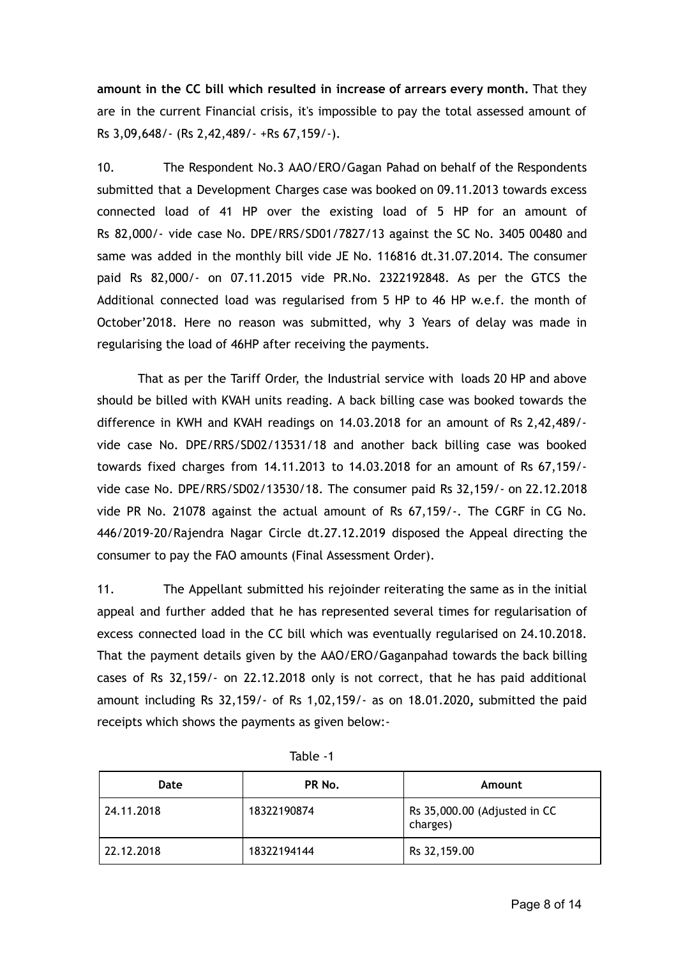**amount in the CC bill which resulted in increase of arrears every month.** That they are in the current Financial crisis, it's impossible to pay the total assessed amount of Rs 3,09,648/- (Rs 2,42,489/- +Rs 67,159/-).

10. The Respondent No.3 AAO/ERO/Gagan Pahad on behalf of the Respondents submitted that a Development Charges case was booked on 09.11.2013 towards excess connected load of 41 HP over the existing load of 5 HP for an amount of Rs 82,000/- vide case No. DPE/RRS/SD01/7827/13 against the SC No. 3405 00480 and same was added in the monthly bill vide JE No. 116816 dt.31.07.2014. The consumer paid Rs 82,000/- on 07.11.2015 vide PR.No. 2322192848. As per the GTCS the Additional connected load was regularised from 5 HP to 46 HP w.e.f. the month of October'2018. Here no reason was submitted, why 3 Years of delay was made in regularising the load of 46HP after receiving the payments.

That as per the Tariff Order, the Industrial service with loads 20 HP and above should be billed with KVAH units reading. A back billing case was booked towards the difference in KWH and KVAH readings on 14.03.2018 for an amount of Rs 2,42,489/ vide case No. DPE/RRS/SD02/13531/18 and another back billing case was booked towards fixed charges from 14.11.2013 to 14.03.2018 for an amount of Rs 67,159/ vide case No. DPE/RRS/SD02/13530/18. The consumer paid Rs 32,159/- on 22.12.2018 vide PR No. 21078 against the actual amount of Rs 67,159/-. The CGRF in CG No. 446/2019-20/Rajendra Nagar Circle dt.27.12.2019 disposed the Appeal directing the consumer to pay the FAO amounts (Final Assessment Order).

11. The Appellant submitted his rejoinder reiterating the same as in the initial appeal and further added that he has represented several times for regularisation of excess connected load in the CC bill which was eventually regularised on 24.10.2018. That the payment details given by the AAO/ERO/Gaganpahad towards the back billing cases of Rs 32,159/- on 22.12.2018 only is not correct, that he has paid additional amount including Rs 32,159/- of Rs 1,02,159/- as on 18.01.2020**,** submitted the paid receipts which shows the payments as given below:-

| Date       | PR No.      | Amount                                   |
|------------|-------------|------------------------------------------|
| 24.11.2018 | 18322190874 | Rs 35,000.00 (Adjusted in CC<br>charges) |
| 22.12.2018 | 18322194144 | Rs 32,159.00                             |

Table -1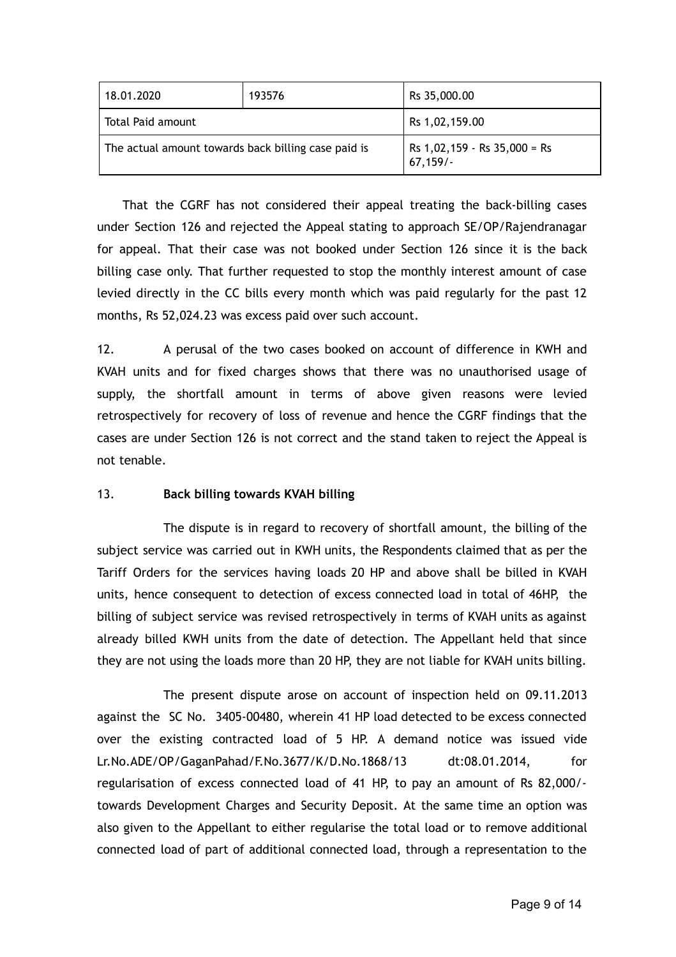| 18.01.2020                                          | 193576 | Rs 35,000.00                                |
|-----------------------------------------------------|--------|---------------------------------------------|
| Total Paid amount                                   |        | Rs 1,02,159.00                              |
| The actual amount towards back billing case paid is |        | Rs $1,02,159 -$ Rs $35,000 =$ Rs<br>67,159/ |

That the CGRF has not considered their appeal treating the back-billing cases under Section 126 and rejected the Appeal stating to approach SE/OP/Rajendranagar for appeal. That their case was not booked under Section 126 since it is the back billing case only. That further requested to stop the monthly interest amount of case levied directly in the CC bills every month which was paid regularly for the past 12 months, Rs 52,024.23 was excess paid over such account.

12. A perusal of the two cases booked on account of difference in KWH and KVAH units and for fixed charges shows that there was no unauthorised usage of supply, the shortfall amount in terms of above given reasons were levied retrospectively for recovery of loss of revenue and hence the CGRF findings that the cases are under Section 126 is not correct and the stand taken to reject the Appeal is not tenable.

### 13. **Back billing towards KVAH billing**

The dispute is in regard to recovery of shortfall amount, the billing of the subject service was carried out in KWH units, the Respondents claimed that as per the Tariff Orders for the services having loads 20 HP and above shall be billed in KVAH units, hence consequent to detection of excess connected load in total of 46HP, the billing of subject service was revised retrospectively in terms of KVAH units as against already billed KWH units from the date of detection. The Appellant held that since they are not using the loads more than 20 HP, they are not liable for KVAH units billing.

The present dispute arose on account of inspection held on 09.11.2013 against the SC No. 3405-00480, wherein 41 HP load detected to be excess connected over the existing contracted load of 5 HP. A demand notice was issued vide Lr.No.ADE/OP/GaganPahad/F.No.3677/K/D.No.1868/13 dt:08.01.2014, for regularisation of excess connected load of 41 HP, to pay an amount of Rs 82,000/ towards Development Charges and Security Deposit. At the same time an option was also given to the Appellant to either regularise the total load or to remove additional connected load of part of additional connected load, through a representation to the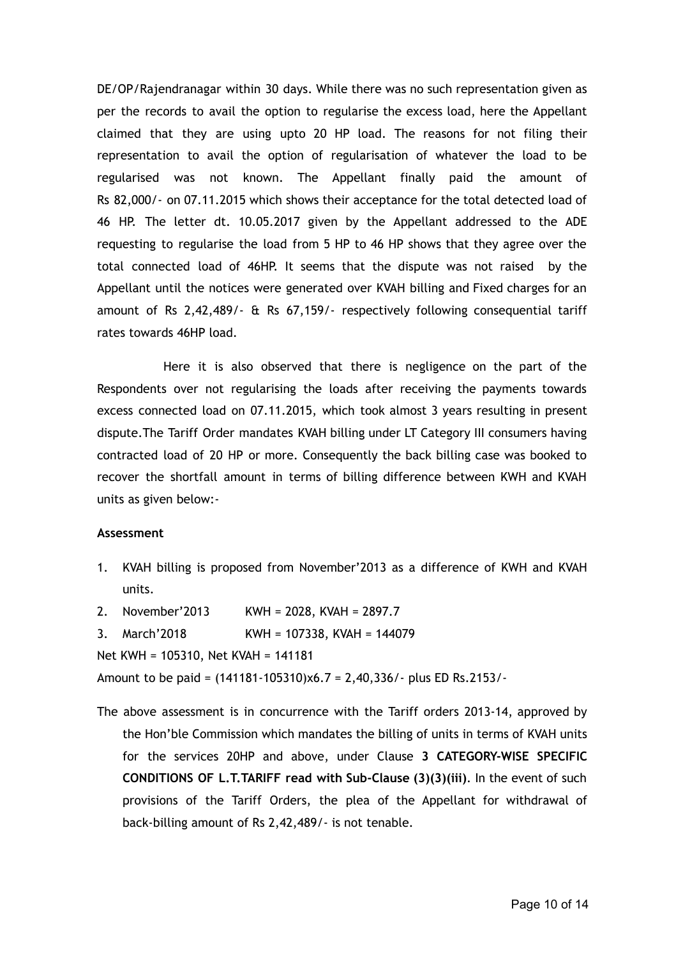DE/OP/Rajendranagar within 30 days. While there was no such representation given as per the records to avail the option to regularise the excess load, here the Appellant claimed that they are using upto 20 HP load. The reasons for not filing their representation to avail the option of regularisation of whatever the load to be regularised was not known. The Appellant finally paid the amount of Rs 82,000/- on 07.11.2015 which shows their acceptance for the total detected load of 46 HP. The letter dt. 10.05.2017 given by the Appellant addressed to the ADE requesting to regularise the load from 5 HP to 46 HP shows that they agree over the total connected load of 46HP. It seems that the dispute was not raised by the Appellant until the notices were generated over KVAH billing and Fixed charges for an amount of Rs 2,42,489/- & Rs 67,159/- respectively following consequential tariff rates towards 46HP load.

Here it is also observed that there is negligence on the part of the Respondents over not regularising the loads after receiving the payments towards excess connected load on 07.11.2015, which took almost 3 years resulting in present dispute.The Tariff Order mandates KVAH billing under LT Category III consumers having contracted load of 20 HP or more. Consequently the back billing case was booked to recover the shortfall amount in terms of billing difference between KWH and KVAH units as given below:-

#### **Assessment**

- 1. KVAH billing is proposed from November'2013 as a difference of KWH and KVAH units.
- 2. November'2013 KWH = 2028, KVAH = 2897.7
- 3. March'2018 KWH = 107338, KVAH = 144079

Net KWH = 105310, Net KVAH = 141181

Amount to be paid = (141181-105310)x6.7 = 2,40,336/- plus ED Rs.2153/-

The above assessment is in concurrence with the Tariff orders 2013-14, approved by the Hon'ble Commission which mandates the billing of units in terms of KVAH units for the services 20HP and above, under Clause **3 CATEGORY-WISE SPECIFIC CONDITIONS OF L.T.TARIFF read with Sub-Clause (3)(3)(iii)**. In the event of such provisions of the Tariff Orders, the plea of the Appellant for withdrawal of back-billing amount of Rs 2,42,489/- is not tenable.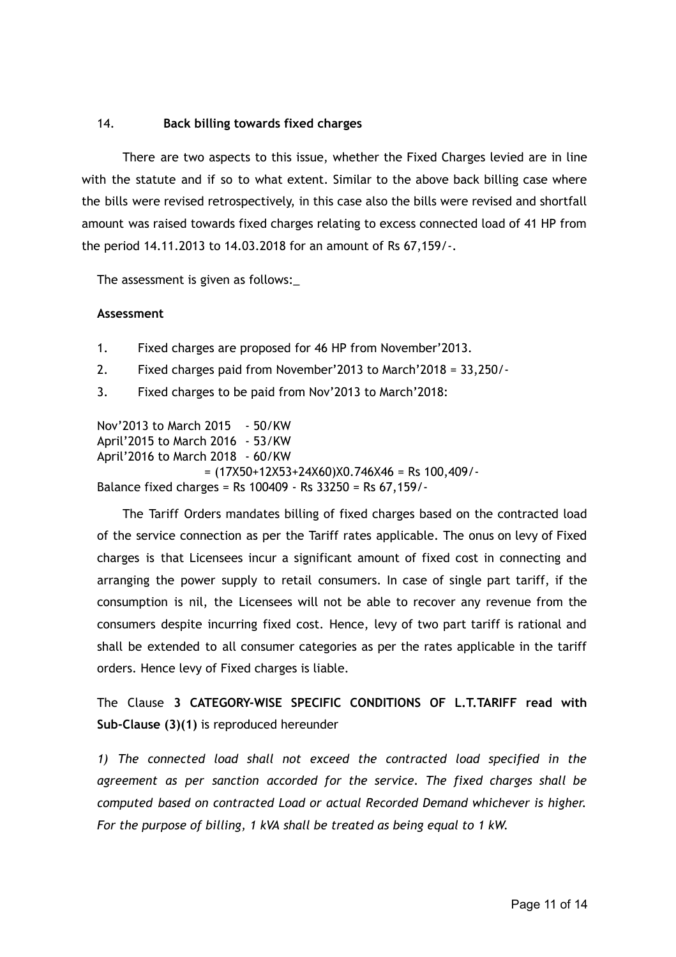## 14. **Back billing towards fixed charges**

There are two aspects to this issue, whether the Fixed Charges levied are in line with the statute and if so to what extent. Similar to the above back billing case where the bills were revised retrospectively, in this case also the bills were revised and shortfall amount was raised towards fixed charges relating to excess connected load of 41 HP from the period 14.11.2013 to 14.03.2018 for an amount of Rs 67,159/-.

The assessment is given as follows:\_

### **Assessment**

- 1. Fixed charges are proposed for 46 HP from November'2013.
- 2. Fixed charges paid from November'2013 to March'2018 = 33,250/-
- 3. Fixed charges to be paid from Nov'2013 to March'2018:

Nov'2013 to March 2015 - 50/KW April'2015 to March 2016 - 53/KW April'2016 to March 2018 - 60/KW  $=$  (17X50+12X53+24X60)X0.746X46 = Rs 100,409/-Balance fixed charges = Rs 100409 - Rs 33250 = Rs 67,159/-

The Tariff Orders mandates billing of fixed charges based on the contracted load of the service connection as per the Tariff rates applicable. The onus on levy of Fixed charges is that Licensees incur a significant amount of fixed cost in connecting and arranging the power supply to retail consumers. In case of single part tariff, if the consumption is nil, the Licensees will not be able to recover any revenue from the consumers despite incurring fixed cost. Hence, levy of two part tariff is rational and shall be extended to all consumer categories as per the rates applicable in the tariff orders. Hence levy of Fixed charges is liable.

The Clause **3 CATEGORY-WISE SPECIFIC CONDITIONS OF L.T.TARIFF read with Sub-Clause (3)(1)** is reproduced hereunder

*1) The connected load shall not exceed the contracted load specified in the agreement as per sanction accorded for the service. The fixed charges shall be computed based on contracted Load or actual Recorded Demand whichever is higher. For the purpose of billing, 1 kVA shall be treated as being equal to 1 kW.*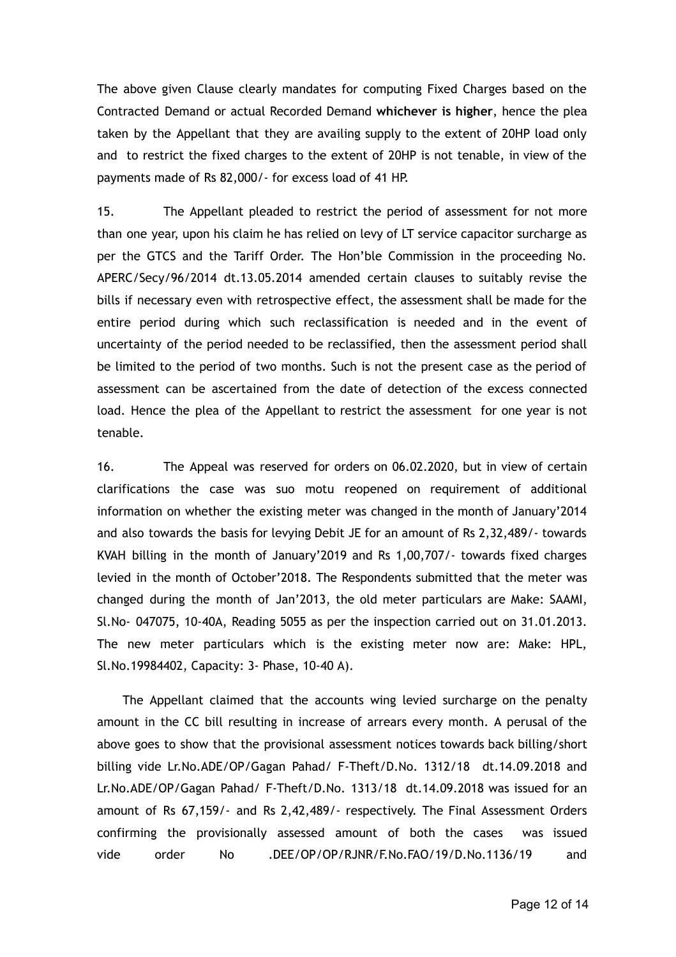The above given Clause clearly mandates for computing Fixed Charges based on the Contracted Demand or actual Recorded Demand **whichever is higher** , hence the plea taken by the Appellant that they are availing supply to the extent of 20HP load only and to restrict the fixed charges to the extent of 20HP is not tenable, in view of the payments made of Rs 82,000/- for excess load of 41 HP.

15. The Appellant pleaded to restrict the period of assessment for not more than one year, upon his claim he has relied on levy of LT service capacitor surcharge as per the GTCS and the Tariff Order. The Hon'ble Commission in the proceeding No. APERC/Secy/96/2014 dt.13.05.2014 amended certain clauses to suitably revise the bills if necessary even with retrospective effect, the assessment shall be made for the entire period during which such reclassification is needed and in the event of uncertainty of the period needed to be reclassified, then the assessment period shall be limited to the period of two months. Such is not the present case as the period of assessment can be ascertained from the date of detection of the excess connected load. Hence the plea of the Appellant to restrict the assessment for one year is not tenable.

16. The Appeal was reserved for orders on 06.02.2020, but in view of certain clarifications the case was suo motu reopened on requirement of additional information on whether the existing meter was changed in the month of January'2014 and also towards the basis for levying Debit JE for an amount of Rs 2,32,489/- towards KVAH billing in the month of January'2019 and Rs 1,00,707/- towards fixed charges levied in the month of October'2018. The Respondents submitted that the meter was changed during the month of Jan'2013, the old meter particulars are Make: SAAMI, Sl.No- 047075, 10-40A, Reading 5055 as per the inspection carried out on 31.01.2013. The new meter particulars which is the existing meter now are: Make: HPL, Sl.No.19984402, Capacity: 3- Phase, 10-40 A).

The Appellant claimed that the accounts wing levied surcharge on the penalty amount in the CC bill resulting in increase of arrears every month. A perusal of the above goes to show that the provisional assessment notices towards back billing/short billing vide Lr.No.ADE/OP/Gagan Pahad/ F-Theft/D.No. 1312/18 dt.14.09.2018 and Lr.No.ADE/OP/Gagan Pahad/ F-Theft/D.No. 1313/18 dt.14.09.2018 was issued for an amount of Rs 67,159/- and Rs 2,42,489/- respectively. The Final Assessment Orders confirming the provisionally assessed amount of both the cases was issued vide order No .DEE/OP/OP/RJNR/F.No.FAO/19/D.No.1136/19 and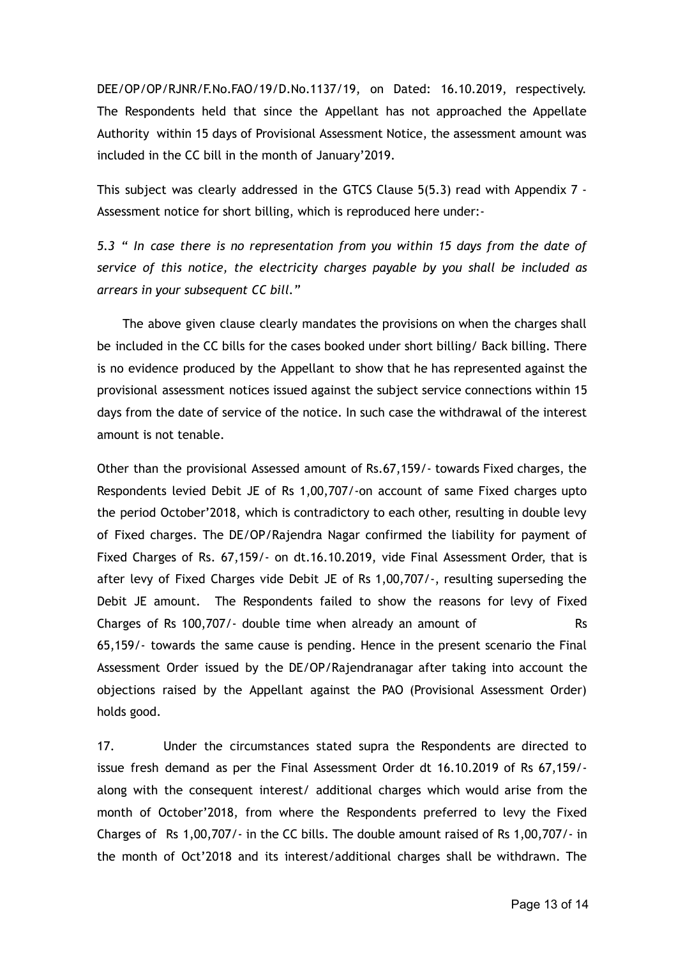DEE/OP/OP/RJNR/F.No.FAO/19/D.No.1137/19, on Dated: 16.10.2019, respectively. The Respondents held that since the Appellant has not approached the Appellate Authority within 15 days of Provisional Assessment Notice, the assessment amount was included in the CC bill in the month of January'2019.

This subject was clearly addressed in the GTCS Clause 5(5.3) read with Appendix 7 - Assessment notice for short billing, which is reproduced here under:-

*5.3 " In case there is no representation from you within 15 days from the date of service of this notice, the electricity charges payable by you shall be included as arrears in your subsequent CC bill."*

The above given clause clearly mandates the provisions on when the charges shall be included in the CC bills for the cases booked under short billing/ Back billing. There is no evidence produced by the Appellant to show that he has represented against the provisional assessment notices issued against the subject service connections within 15 days from the date of service of the notice. In such case the withdrawal of the interest amount is not tenable.

Other than the provisional Assessed amount of Rs.67,159/- towards Fixed charges, the Respondents levied Debit JE of Rs 1,00,707/-on account of same Fixed charges upto the period October'2018, which is contradictory to each other, resulting in double levy of Fixed charges. The DE/OP/Rajendra Nagar confirmed the liability for payment of Fixed Charges of Rs. 67,159/- on dt.16.10.2019, vide Final Assessment Order, that is after levy of Fixed Charges vide Debit JE of Rs 1,00,707/-, resulting superseding the Debit JE amount. The Respondents failed to show the reasons for levy of Fixed Charges of Rs 100,707/- double time when already an amount of Rs 65,159/- towards the same cause is pending. Hence in the present scenario the Final Assessment Order issued by the DE/OP/Rajendranagar after taking into account the objections raised by the Appellant against the PAO (Provisional Assessment Order) holds good.

17. Under the circumstances stated supra the Respondents are directed to issue fresh demand as per the Final Assessment Order dt 16.10.2019 of Rs 67,159/ along with the consequent interest/ additional charges which would arise from the month of October'2018, from where the Respondents preferred to levy the Fixed Charges of Rs 1,00,707/- in the CC bills. The double amount raised of Rs 1,00,707/- in the month of Oct'2018 and its interest/additional charges shall be withdrawn. The